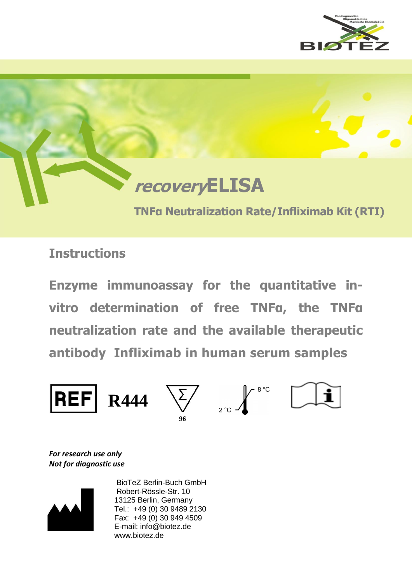



**Instructions**

**Enzyme immunoassay for the quantitative invitro determination of free TNFα, the TNFα neutralization rate and the available therapeutic antibody Infliximab in human serum samples**



*For research use only Not for diagnostic use*



 BioTeZ Berlin-Buch GmbH Robert-Rössle-Str. 10 13125 Berlin, Germany Tel.: +49 (0) 30 9489 2130 Fax: +49 (0) 30 949 4509 E-mail: info@biotez.de www.biotez.de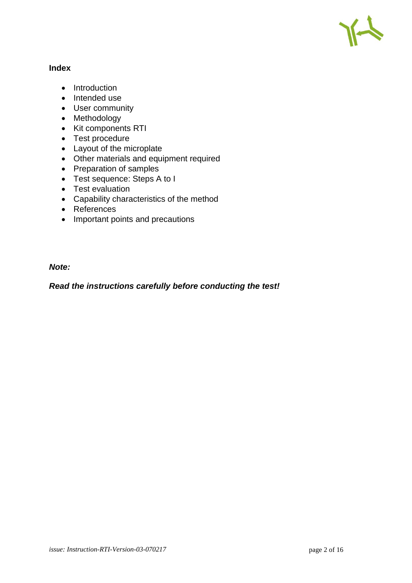

# **Index**

- Introduction
- Intended use
- User community
- Methodology
- Kit components RTI
- Test procedure
- Layout of the microplate
- Other materials and equipment required
- Preparation of samples
- Test sequence: Steps A to I
- Test evaluation
- Capability characteristics of the method
- References
- Important points and precautions

# *Note:*

*Read the instructions carefully before conducting the test!*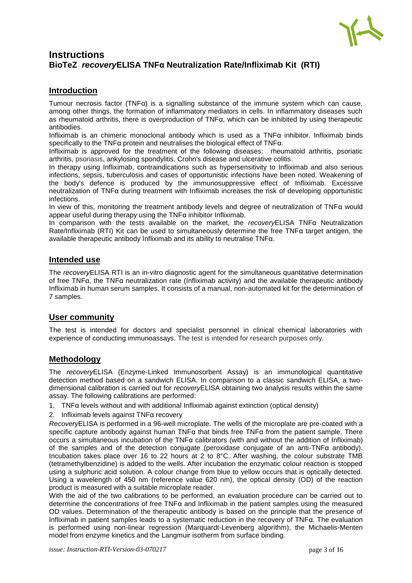

# **Instructions BioTeZ** *recovery***ELISA TNFα Neutralization Rate/Infliximab Kit (RTI)**

# **Introduction**

Tumour necrosis factor (TNF $\alpha$ ) is a signalling substance of the immune system which can cause. among other things, the formation of inflammatory mediators in cells. In inflammatory diseases such as rheumatoid arthritis, there is overproduction of TNFα, which can be inhibited by using therapeutic antibodies.

Infliximab is an chimeric monoclonal antibody which is used as a TNFα inhibitor. Infliximab binds specifically to the TNFα protein and neutralises the biological effect of TNFα.

Infliximab is approved for the treatment of the following diseases: rheumatoid arthritis, psoriatic arthritis, psoriasis, ankylosing spondylitis, Crohn's disease and ulcerative colitis.

In therapy using Infliximab, contraindications such as hypersensitivity to Infliximab and also serious infections, sepsis, tuberculosis and cases of opportunistic infections have been noted. Weakening of the body's defence is produced by the immunosuppressive effect of Infliximab. Excessive neutralization of TNFα during treatment with Infliximab increases the risk of developing opportunistic infections.

In view of this, monitoring the treatment antibody levels and degree of neutralization of TNFα would appear useful during therapy using the TNFα inhibitor Infliximab.

In comparison with the tests available on the market, the *recovery*ELISA TNFα Neutralization Rate/Infliximab (RTI) Kit can be used to simultaneously determine the free TNF $\alpha$  target antigen, the available therapeutic antibody Infliximab and its ability to neutralise TNFα.

# **Intended use**

The *recovery*ELISA RTI is an in-vitro diagnostic agent for the simultaneous quantitative determination of free TNFα, the TNFα neutralization rate (Infliximab activity) and the available therapeutic antibody Infliximab in human serum samples. It consists of a manual, non-automated kit for the determination of 7 samples.

# **User community**

The test is intended for doctors and specialist personnel in clinical chemical laboratories with experience of conducting immunoassays. The test is intended for research purposes only.

# **Methodology**

The *recovery*ELISA (Enzyme-Linked Immunosorbent Assay) is an immunological quantitative detection method based on a sandwich ELISA. In comparison to a classic sandwich ELISA, a twodimensional calibration is carried out for *recovery*ELISA obtaining two analysis results within the same assay. The following calibrations are performed:

- 1. TNFα levels without and with additional Infliximab against extinction (optical density)
- 2. Infliximab levels against TNFα recovery

*Recovery*ELISA is performed in a 96-well microplate. The wells of the microplate are pre-coated with a specific capture antibody against human TNF $\alpha$  that binds free TNF $\alpha$  from the patient sample. There occurs a simultaneous incubation of the TNFα calibrators (with and without the addition of Infliximab) of the samples and of the detection conjugate (peroxidase conjugate of an anti-TNFα antibody). Incubation takes place over 16 to 22 hours at 2 to 8°C. After washing, the colour substrate TMB (tetramethylbenzidine) is added to the wells. After incubation the enzymatic colour reaction is stopped using a sulphuric acid solution. A colour change from blue to yellow occurs that is optically detected. Using a wavelength of 450 nm (reference value 620 nm), the optical density (OD) of the reaction product is measured with a suitable microplate reader.

With the aid of the two calibrations to be performed, an evaluation procedure can be carried out to determine the concentrations of free TNFα and Infliximab in the patient samples using the measured OD values. Determination of the therapeutic antibody is based on the principle that the presence of Infliximab in patient samples leads to a systematic reduction in the recovery of TNFα. The evaluation is performed using non-linear regression (Marquardt-Levenberg algorithm), the Michaelis-Menten model from enzyme kinetics and the Langmuir isotherm from surface binding.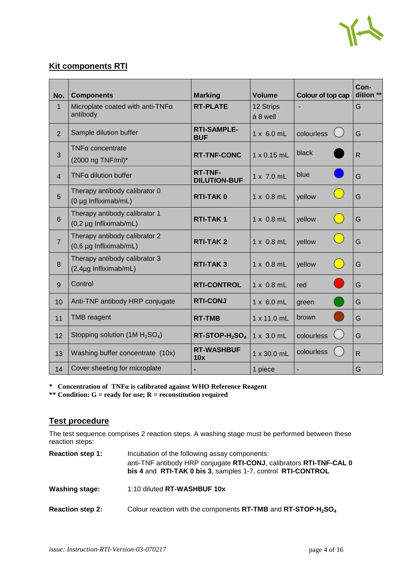

# **Kit components RTI**

| No.            | <b>Components</b>                                       | <b>Marking</b>                         | <b>Volume</b>         | Colour of top cap | Con-<br>dition ** |
|----------------|---------------------------------------------------------|----------------------------------------|-----------------------|-------------------|-------------------|
| $\mathbf{1}$   | Microplate coated with anti-TNFa<br>antibody            | <b>RT-PLATE</b>                        | 12 Strips<br>á 8 well |                   | G                 |
| $\overline{2}$ | Sample dilution buffer                                  | <b>RTI-SAMPLE-</b><br><b>BUF</b>       | $1 \times 6.0$ mL     | colourless        | G                 |
| 3              | $TNF\alpha$ concentrate<br>(2000 ng TNF/ml)*            | <b>RT-TNF-CONC</b>                     | $1 \times 0.15$ mL    | black             | $\mathsf{R}$      |
| $\overline{4}$ | $TNF\alpha$ dilution buffer                             | <b>RT-TNF-</b><br><b>DILUTION-BUF</b>  | $1 \times 7.0$ mL     | blue              | G                 |
| 5              | Therapy antibody calibrator 0<br>(0 µg Infliximab/mL)   | <b>RTI-TAK0</b>                        | $1 \times 0.8$ mL     | yellow            | G                 |
| $6\phantom{1}$ | Therapy antibody calibrator 1<br>(0,2 µg Infliximab/mL) | <b>RTI-TAK1</b>                        | $1 \times 0.8$ mL     | yellow            | G                 |
| $\overline{7}$ | Therapy antibody calibrator 2<br>(0,6 µg Infliximab/mL) | <b>RTI-TAK2</b>                        | $1 \times 0.8$ mL     | yellow            | G                 |
| 8              | Therapy antibody calibrator 3<br>(2,4µg Infliximab/mL)  | <b>RTI-TAK3</b>                        | $1 \times 0.8$ mL     | yellow            | G                 |
| 9              | Control                                                 | <b>RTI-CONTROL</b>                     | $1 \times 0.8$ mL     | red               | G                 |
| 10             | Anti-TNF antibody HRP conjugate                         | <b>RTI-CONJ</b>                        | $1 \times 6.0$ mL     | green             | G                 |
| 11             | <b>TMB</b> reagent                                      | <b>RT-TMB</b>                          | 1 x 11.0 mL           | brown             | G                 |
| 12             | Stopping solution (1M $H_2SO_4$ )                       | RT-STOP-H <sub>2</sub> SO <sub>4</sub> | $1 \times 3.0$ mL     | colourless        | G                 |
| 13             | Washing buffer concentrate (10x)                        | <b>RT-WASHBUF</b><br>10x               | 1 x 30.0 mL           | colourless        | $\overline{R}$    |
| 14             | Cover sheeting for microplate                           |                                        | 1 piece               |                   | G                 |

**\* Concentration of TNFα is calibrated against WHO Reference Reagent**

**\*\* Condition: G = ready for use; R = reconstitution required**

# **Test procedure**

The test sequence comprises 2 reaction steps. A washing stage must be performed between these reaction steps:

| <b>Reaction step 1:</b> | Incubation of the following assay components:<br>anti-TNF antibody HRP conjugate RTI-CONJ, calibrators RTI-TNF-CAL 0<br>bis 4 and RTI-TAK 0 bis 3, samples 1-7, control RTI-CONTROL |
|-------------------------|-------------------------------------------------------------------------------------------------------------------------------------------------------------------------------------|
| <b>Washing stage:</b>   | 1:10 diluted <b>RT-WASHBUF 10x</b>                                                                                                                                                  |
| <b>Reaction step 2:</b> | Colour reaction with the components RT-TMB and RT-STOP-H <sub>2</sub> SO <sub>4</sub>                                                                                               |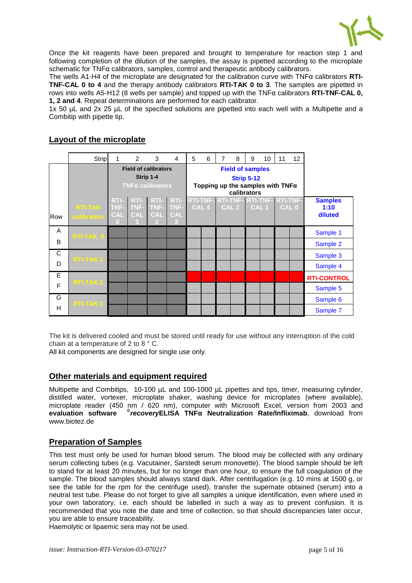

Once the kit reagents have been prepared and brought to temperature for reaction step 1 and following completion of the dilution of the samples, the assay is pipetted according to the microplate schematic for TNFα calibrators, samples, control and therapeutic antibody calibrators.

The wells A1-H4 of the microplate are designated for the calibration curve with TNFα calibrators **RTI-TNF-CAL 0 to 4** and the therapy antibody calibrators **RTI-TAK 0 to 3**. The samples are pipetted in rows into wells A5-H12 (8 wells per sample) and topped up with the TNFα calibrators **RTI-TNF-CAL 0, 1, 2 and 4**. Repeat determinations are performed for each calibrator.

1x 50 µL and 2x 25 µL of the specified solutions are pipetted into each well with a Multipette and a Combitip with pipette tip.

# **Layout of the microplate**

|     | Strip                | 1               | $\overline{2}$ | 3                            | $\overline{4}$  | 5                                                            | 6                | 7 | 8                       | 9 | 10               | 11                                  | 12               |                    |
|-----|----------------------|-----------------|----------------|------------------------------|-----------------|--------------------------------------------------------------|------------------|---|-------------------------|---|------------------|-------------------------------------|------------------|--------------------|
|     |                      |                 |                | <b>Field of calibrators</b>  |                 |                                                              |                  |   | <b>Field of samples</b> |   |                  |                                     |                  |                    |
|     |                      |                 |                | Strip 1-4                    |                 | <b>Strip 5-12</b><br>Topping up the samples with $TNF\alpha$ |                  |   |                         |   |                  |                                     |                  |                    |
|     |                      |                 |                | $TNF\alpha$ calibrators      |                 |                                                              |                  |   |                         |   |                  |                                     |                  |                    |
|     |                      | RTI-            |                | RTI- RTI-                    | RTI-            |                                                              |                  |   | calibrators             |   |                  | RTI-TNF- RTI-TNF- RTI-TNF- RTI-TNF- |                  | <b>Samples</b>     |
|     | <b>RTI-TAK</b>       |                 | TNF- TNF-      | TNF-                         | TNF-            |                                                              | CAL <sub>4</sub> |   | CAL <sub>2</sub>        |   | CAL <sub>1</sub> |                                     | CAL <sub>0</sub> | 1:10               |
| Row | calibrators          | <b>CAL</b><br>n | <b>CAL</b>     | <b>CAL</b><br>$\overline{2}$ | <b>CAL</b><br>3 |                                                              |                  |   |                         |   |                  |                                     |                  | diluted            |
| A   | RTI-TAK <sup>O</sup> |                 |                |                              |                 |                                                              |                  |   |                         |   |                  |                                     |                  | Sample 1           |
| B   |                      |                 |                |                              |                 |                                                              |                  |   |                         |   |                  |                                     |                  | Sample 2           |
| C   | RTI-TAK1             |                 |                |                              |                 |                                                              |                  |   |                         |   |                  |                                     |                  | Sample 3           |
| D   |                      |                 |                |                              |                 |                                                              |                  |   |                         |   |                  |                                     |                  | Sample 4           |
| E   | RTI-TAK2             |                 |                |                              |                 |                                                              |                  |   |                         |   |                  |                                     |                  | <b>RTI-CONTROL</b> |
| F   |                      |                 |                |                              |                 |                                                              |                  |   |                         |   |                  |                                     |                  | Sample 5           |
| G   | RTI-TAK <sub>3</sub> |                 |                |                              |                 |                                                              |                  |   |                         |   |                  |                                     |                  | Sample 6           |
| H   |                      |                 |                |                              |                 |                                                              |                  |   |                         |   |                  |                                     |                  | Sample 7           |

The kit is delivered cooled and must be stored until ready for use without any interruption of the cold chain at a temperature of 2 to 8 ° C.

All kit components are designed for single use only.

# **Other materials and equipment required**

Multipette and Combitips, 10-100 µL and 100-1000 µL pipettes and tips, timer, measuring cylinder, distilled water, vortexer, microplate shaker, washing device for microplates (where available), microplate reader (450 nm / 620 nm), computer with Microsoft Excel, version from 2003 and **evaluation software** **©** *recovery***ELISA TNFα Neutralization Rate/Infliximab**, download from www.biotez.de

# **Preparation of Samples**

This test must only be used for human blood serum. The blood may be collected with any ordinary serum collecting tubes (e.g. Vacutainer, Sarstedt serum monovette). The blood sample should be left to stand for at least 20 minutes, but for no longer than one hour, to ensure the full coagulation of the sample. The blood samples should always stand dark. After centrifugation (e.g. 10 mins at 1500 g, or see the table for the rpm for the centrifuge used), transfer the supernate obtained (serum) into a neutral test tube. Please do not forget to give all samples a unique identification, even where used in your own laboratory, i.e. each should be labelled in such a way as to prevent confusion. It is recommended that you note the date and time of collection, so that should discrepancies later occur, you are able to ensure traceability.

Haemolytic or lipaemic sera may not be used.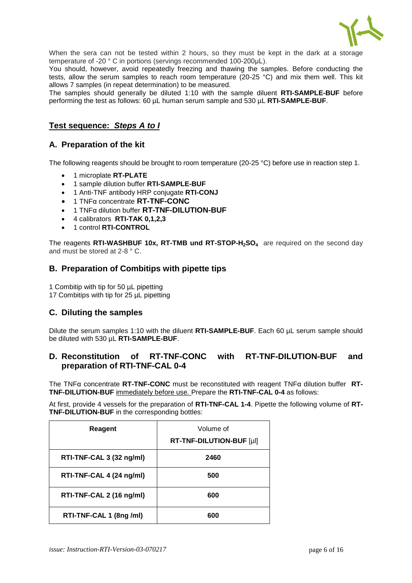

When the sera can not be tested within 2 hours, so they must be kept in the dark at a storage temperature of -20 ° C in portions (servings recommended 100-200μL).

You should, however, avoid repeatedly freezing and thawing the samples. Before conducting the tests, allow the serum samples to reach room temperature (20-25 °C) and mix them well. This kit allows 7 samples (in repeat determination) to be measured.

The samples should generally be diluted 1:10 with the sample diluent **RTI-SAMPLE-BUF** before performing the test as follows: 60 µL human serum sample and 530 µL **RTI-SAMPLE-BUF**.

# **Test sequence:** *Steps A to I*

## **A. Preparation of the kit**

The following reagents should be brought to room temperature (20-25 °C) before use in reaction step 1.

- 1 microplate **RT-PLATE**
- 1 sample dilution buffer **RTI-SAMPLE-BUF**
- 1 Anti-TNF antibody HRP conjugate **RTI-CONJ**
- 1 TNFα concentrate **RT-TNF-CONC**
- 1 TNFα dilution buffer **RT-TNF-DILUTION-BUF**
- 4 calibrators **RTI-TAK 0,1,2,3**
- 1 control **RTI-CONTROL**

The reagents **RTI-WASHBUF 10x, RT-TMB und RT-STOP-H2SO4** are required on the second day and must be stored at 2-8 ° C.

#### **B. Preparation of Combitips with pipette tips**

1 Combitip with tip for 50 µL pipetting 17 Combitips with tip for 25 µL pipetting

# **C. Diluting the samples**

Dilute the serum samples 1:10 with the diluent **RTI-SAMPLE-BUF**. Each 60 µL serum sample should be diluted with 530 µL **RTI-SAMPLE-BUF**.

# **D. Reconstitution of RT-TNF-CONC with RT-TNF-DILUTION-BUF and preparation of RTI-TNF-CAL 0-4**

The TNFα concentrate **RT-TNF-CONC** must be reconstituted with reagent TNFα dilution buffer **RT-TNF-DILUTION-BUF** immediately before use. Prepare the **RTI-TNF-CAL 0-4** as follows:

At first, provide 4 vessels for the preparation of **RTI-TNF-CAL 1-4**. Pipette the following volume of **RT-TNF-DILUTION-BUF** in the corresponding bottles:

| Reagent                  | Volume of<br>RT-TNF-DILUTION-BUF [µl] |
|--------------------------|---------------------------------------|
| RTI-TNF-CAL 3 (32 ng/ml) | 2460                                  |
| RTI-TNF-CAL 4 (24 ng/ml) | 500                                   |
| RTI-TNF-CAL 2 (16 ng/ml) | 600                                   |
| RTI-TNF-CAL 1 (8ng/ml)   | 600                                   |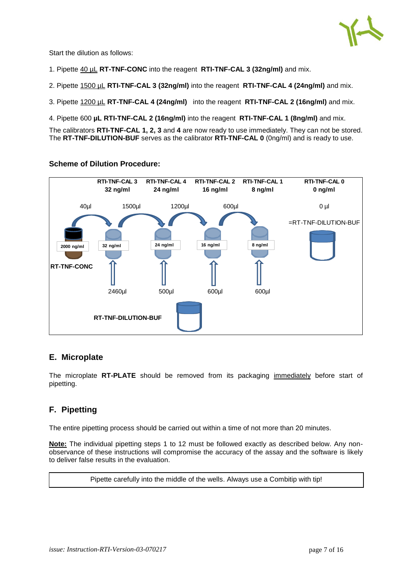

Start the dilution as follows:

- 1. Pipette 40 µL **RT-TNF-CONC** into the reagent **RTI-TNF-CAL 3 (32ng/ml)** and mix.
- 2. Pipette 1500 µL **RTI-TNF-CAL 3 (32ng/ml)** into the reagent **RTI-TNF-CAL 4 (24ng/ml)** and mix.
- 3. Pipette 1200 µL **RT-TNF-CAL 4 (24ng/ml)** into the reagent **RTI-TNF-CAL 2 (16ng/ml)** and mix.
- 4. Pipette 600 **µL RTI-TNF-CAL 2 (16ng/ml)** into the reagent **RTI-TNF-CAL 1 (8ng/ml)** and mix.

The calibrators **RTI-TNF-CAL 1, 2, 3** and **4** are now ready to use immediately. They can not be stored. The **RT-TNF-DILUTION-BUF** serves as the calibrator **RTI-TNF-CAL 0** (0ng/ml) and is ready to use.

# **Scheme of Dilution Procedure:**



# **E. Microplate**

The microplate **RT-PLATE** should be removed from its packaging immediately before start of pipetting.

# **F. Pipetting**

The entire pipetting process should be carried out within a time of not more than 20 minutes.

**Note:** The individual pipetting steps 1 to 12 must be followed exactly as described below. Any nonobservance of these instructions will compromise the accuracy of the assay and the software is likely to deliver false results in the evaluation.

Pipette carefully into the middle of the wells. Always use a Combitip with tip!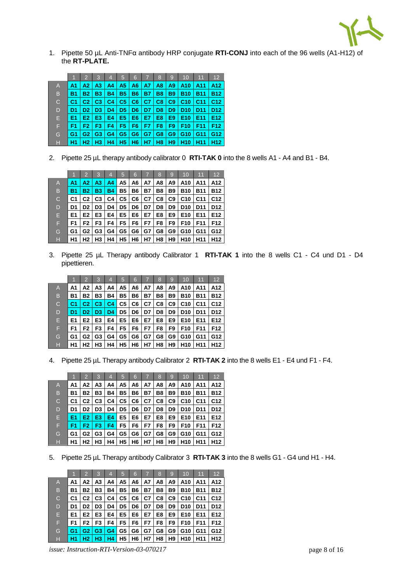

1. Pipette 50 µL Anti-TNFα antibody HRP conjugate **RTI-CONJ** into each of the 96 wells (A1-H12) of the **RT-PLATE.**

|              | ۲h             | 12             | 3              | 4              | 5              | 6              |           | 8              | $\mathbf{Q}$   | 10              | 11              | 12              |
|--------------|----------------|----------------|----------------|----------------|----------------|----------------|-----------|----------------|----------------|-----------------|-----------------|-----------------|
| A            | A1             | А2.            | A3             | A4             | A5             | A6             | A7        | A <sub>8</sub> | A9             | A10             | A11             | A12             |
| B            | <b>B1</b>      | B2             | <b>B3</b>      | <b>B4</b>      | <b>B5</b>      | <b>B6</b>      | <b>B7</b> | <b>B8</b>      | <b>B9</b>      | <b>B10</b>      | <b>B11</b>      | <b>B12</b>      |
| $\mathsf{C}$ | C <sub>1</sub> | C <sub>2</sub> | C <sub>3</sub> | C <sub>4</sub> | C <sub>5</sub> | C6             | C7        | C8             | C9             | C <sub>10</sub> | C <sub>11</sub> | C <sub>12</sub> |
| D            | D1             | D <sub>2</sub> | D <sub>3</sub> | D4             | D <sub>5</sub> | D <sub>6</sub> | D7        | D <sub>8</sub> | D <sub>9</sub> | D <sub>10</sub> | D <sub>11</sub> | D <sub>12</sub> |
| Е            | E <sub>1</sub> | E2.            | E <sub>3</sub> | E4             | E5             | E <sub>6</sub> | E7        | E8             | E9             | E <sub>10</sub> | E11             | E12             |
| F            | F1             | F <sub>2</sub> | F3             | F4             | F5             | F6             | F7        | F <sub>8</sub> | F9             | F <sub>10</sub> | F <sub>11</sub> | F12             |
| G            | G1             | G2             | G <sub>3</sub> | G4             | G5             | G <sub>6</sub> | G7        | G8             | G <sub>9</sub> | G10             | G11             | G12             |
| н            | Н1             | H2             | H <sub>3</sub> | H4             | Η5             | H <sub>6</sub> | Н7        | H <sub>8</sub> | H <sub>9</sub> | <b>H10</b>      | H11             | H <sub>12</sub> |

2. Pipette 25 µL therapy antibody calibrator 0 **RTI-TAK 0** into the 8 wells A1 - A4 and B1 - B4.

|              |                | $\overline{2}$ | 3              | 4         | 5              | 6         |    | 8  | 9              | 10              | 11              | 12              |
|--------------|----------------|----------------|----------------|-----------|----------------|-----------|----|----|----------------|-----------------|-----------------|-----------------|
| A            | A1             | A2.            | A3             | A4        | А5             | A6        | A7 | A8 | A9             | A10             | A11             | A12             |
| B            | B1             | Β2             | <b>B3</b>      | <b>B4</b> | <b>B5</b>      | <b>B6</b> | Β7 | Β8 | B9             | <b>B10</b>      | <b>B11</b>      | <b>B12</b>      |
| $\mathsf{C}$ | C <sub>1</sub> | C2             | C <sub>3</sub> | C4        | C5             | C6        | C7 | C8 | C <sub>9</sub> | C <sub>10</sub> | C <sub>11</sub> | C <sub>12</sub> |
| D            | D1             | D <sub>2</sub> | D3             | D4        | D <sub>5</sub> | D6        | D7 | D8 | D9             | D <sub>10</sub> | D <sub>11</sub> | D <sub>12</sub> |
| Е            | E1             | E <sub>2</sub> | E <sub>3</sub> | E4        | E5             | E6        | E7 | E8 | E9             | E <sub>10</sub> | E <sub>11</sub> | E <sub>12</sub> |
| F            | F1             | F2             | F3             | F4        | F <sub>5</sub> | F6        | F7 | F8 | F9             | F <sub>10</sub> | F11             | F12             |
| G            | G1             | G2             | G <sub>3</sub> | G4        | G5             | G6        | G7 | G8 | G9             | G <sub>10</sub> | G11             | G12             |
| н            | Η1             | Н2             | H3             | Η4        | <b>H5</b>      | H6        | Н7 | H8 | H9             | H <sub>10</sub> | H <sub>11</sub> | H12             |

3. Pipette 25 µL Therapy antibody Calibrator 1 **RTI-TAK 1** into the 8 wells C1 - C4 und D1 - D4 pipettieren.

|              |                | $\overline{2}$ | 3              | $\overline{4}$ | 5         | 6  | 7         | 8              | $\mathbf{Q}$   | 10              | 11              | $12 \overline{ }$ |
|--------------|----------------|----------------|----------------|----------------|-----------|----|-----------|----------------|----------------|-----------------|-----------------|-------------------|
| A            | A1             | А2             | A3             | A4             | А5        | A6 | A7        | A8             | A9             | A10             | A11             | A12               |
| B            | <b>B1</b>      | Β2             | B3             | Β4             | В5        | Β6 | <b>B7</b> | B8             | <b>B9</b>      | <b>B10</b>      | <b>B11</b>      | <b>B12</b>        |
| $\mathsf{C}$ |                | C <sub>2</sub> | C <sub>3</sub> | C <sub>4</sub> | C5        | C6 | C7        | C8             | C9             | C <sub>10</sub> | C <sub>11</sub> | C <sub>12</sub>   |
| D            | D <sub>1</sub> | D2.            | D <sub>3</sub> | D <sub>4</sub> | D5        | D6 | D7        | D <sub>8</sub> | D <sub>9</sub> | D <sub>10</sub> | D <sub>11</sub> | D <sub>12</sub>   |
| Е            | E <sub>1</sub> | E <sub>2</sub> | E3             | E4             | E5        | E6 | E7        | E8             | E9             | E <sub>10</sub> | E11             | E12               |
| F            | F <sub>1</sub> | F2             | F3             | F4             | F5        | F6 | F7        | F8             | F9             | F <sub>10</sub> | F11             | F12               |
| G            | G1             | G2             | G3             | G4             | G5        | G6 | G7        | G8             | G9             | G10             | G11             | G12               |
| Н            | H <sub>1</sub> | H <sub>2</sub> | H3             | Η4             | <b>H5</b> | H6 | Н7        | H8             | H9             | H <sub>10</sub> | H <sub>11</sub> | H <sub>12</sub>   |

4. Pipette 25 µL Therapy antibody Calibrator 2 **RTI-TAK 2** into the 8 wells E1 - E4 und F1 - F4.

|              | 1              | $\overline{2}$ | 3              | 4         | 5         | 6  | 7         | 8  | 9              | 10              | 11              | 12              |
|--------------|----------------|----------------|----------------|-----------|-----------|----|-----------|----|----------------|-----------------|-----------------|-----------------|
| A            | A1             | А2             | A3             | A4        | А5        | A6 | A7        | A8 | A9             | A10             | A11             | A12             |
| B            | <b>B1</b>      | Β2             | B3             | <b>B4</b> | <b>B5</b> | Β6 | <b>B7</b> | B8 | <b>B9</b>      | <b>B10</b>      | <b>B11</b>      | <b>B12</b>      |
| $\mathsf{C}$ | C1             | C <sub>2</sub> | C <sub>3</sub> | C4        | C5        | C6 | C7        | C8 | C9             | C <sub>10</sub> | C <sub>11</sub> | C <sub>12</sub> |
| D            | D1             | D <sub>2</sub> | D3             | D4        | D5        | D6 | D7        | D8 | D <sub>9</sub> | D <sub>10</sub> | D <sub>11</sub> | D <sub>12</sub> |
| Е            | E <sub>1</sub> | E2.            | E3             | E4        | E5        | E6 | E7        | E8 | E9             | E <sub>10</sub> | E11             | E12             |
| F            | F1             | F <sub>2</sub> | F3             | F4        | F5        | F6 | F7        | F8 | F9             | F <sub>10</sub> | F11             | F12             |
| G            | G1             | G2             | G3             | G4        | G5        | G6 | G7        | G8 | G9             | G10             | G11             | G12             |
| н            | H1             | H2             | H3             | Η4        | <b>H5</b> | H6 | Н7        | H8 | H9             | H <sub>10</sub> | H <sub>11</sub> | H12             |

5. Pipette 25 µL Therapy antibody Calibrator 3 **RTI-TAK 3** into the 8 wells G1 - G4 und H1 - H4.

|                |                | $\mathcal{P}$  | 3              | 4  | 5         | 6           | 7                             | 8         | $\mathbf{Q}$   | 10                                | 11              | 12              |
|----------------|----------------|----------------|----------------|----|-----------|-------------|-------------------------------|-----------|----------------|-----------------------------------|-----------------|-----------------|
| $\overline{A}$ | А1             | А2             | А3             | A4 | A5        | A6 I        | A7                            | A8        | A9             | A <sub>10</sub>   A <sub>11</sub> |                 | A12             |
| B              | <b>B1</b>      | <b>B2</b>      | <b>B3</b>      | Β4 | <b>B5</b> | <b>B6</b>   | Β7                            | <b>B8</b> | <b>B9</b>      | <b>B10</b>                        | <b>B11</b>      | <b>B12</b>      |
| $\mathsf{C}$   | C <sub>1</sub> | C <sub>2</sub> | C <sub>3</sub> | C4 | C5        | C6          | C7                            | C8        | C9             | C10                               | C <sub>11</sub> | C <sub>12</sub> |
| D              | D1             | D <sub>2</sub> | D <sub>3</sub> | D4 | D5        | <b>D6</b> I | D7 I                          | D8        | D9             | D <sub>10</sub>   D <sub>11</sub> |                 | D <sub>12</sub> |
| E              | E1             | E <sub>2</sub> | E3             | E4 | E5        | E6 I        | E7                            | E8        | E9             | E <sub>10</sub>                   | E11             | E <sub>12</sub> |
| F              | F <sub>1</sub> | F <sub>2</sub> | F3             | F4 | F5        | F6          | F7                            | F8        | F9             | F <sub>10</sub>                   | F <sub>11</sub> | F <sub>12</sub> |
| G              | G <sub>1</sub> | G2             | G3             | G4 | G5        | G6          | G7                            | G8        | G9 l           |                                   | G10 G11         | G12             |
| H              | H <sub>1</sub> | H2.            | H3             | H4 |           |             | $H5$ $H6$ $H7$ $\overline{ }$ | H8        | H <sub>9</sub> | <b>H10 H11</b>                    |                 | H <sub>12</sub> |

*issue: Instruction-RTI-Version-03-070217* page 8 of 16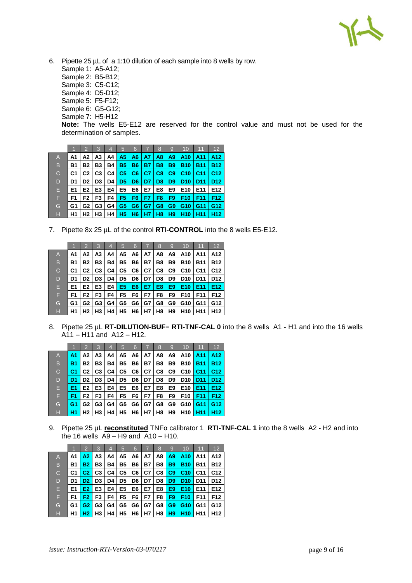6. Pipette 25 µL of a 1:10 dilution of each sample into 8 wells by row.

- Sample 1: A5-A12;
- Sample 2: B5-B12;
- Sample 3: C5-C12;
- Sample 4: D5-D12;
- Sample 5: F5-F12;
- Sample 6: G5-G12;
- Sample 7: H5-H12

**Note:** The wells E5-E12 are reserved for the control value and must not be used for the determination of samples.

|              |           | $\overline{2}$ | 3              | 4  | 5              | 6              | 7              | 8              | 9              | 10              | 11              | 12              |
|--------------|-----------|----------------|----------------|----|----------------|----------------|----------------|----------------|----------------|-----------------|-----------------|-----------------|
| A            | A1        | А2             | A3             | A4 | A5             | A6             | A7             | A8             | A9             | A10             | A11             | A12             |
| B            | <b>B1</b> | <b>B2</b>      | B3             | Β4 | <b>B5</b>      | <b>B6</b>      | <b>B7</b>      | <b>B8</b>      | <b>B9</b>      | <b>B10</b>      | <b>B11</b>      | <b>B12</b>      |
| $\mathsf{C}$ | C1        | C2             | C <sub>3</sub> | C4 | C <sub>5</sub> | C <sub>6</sub> | C <sub>7</sub> | C8             | C9             | C <sub>10</sub> | C <sub>11</sub> | C <sub>12</sub> |
| D            | D1        | D <sub>2</sub> | D3             | D4 | D <sub>5</sub> | D <sub>6</sub> | D7             | D <sub>8</sub> | D <sub>9</sub> | D <sub>10</sub> | D <sub>11</sub> | D <sub>12</sub> |
| Е            | E1        | E2             | E <sub>3</sub> | E4 | E5             | E6             | E7             | E8             | E9             | E <sub>10</sub> | E11             | E12             |
| F            | F1        | F2             | F3             | F4 | F <sub>5</sub> | F6             | F7             | F8             | F <sub>9</sub> | F <sub>10</sub> | F11             | F <sub>12</sub> |
| G            | G1        | G2             | G3             | G4 | G <sub>5</sub> | G <sub>6</sub> | G7             | G8             | G <sub>9</sub> | G <sub>10</sub> | G11             | G12             |
| Н            | H1        | H2             | H3             | Η4 | <b>H5</b>      | H <sub>6</sub> | H7             | H8             | H <sub>9</sub> | H <sub>10</sub> | H <sub>11</sub> | H <sub>12</sub> |

7. Pipette 8x 25 µL of the control **RTI-CONTROL** into the 8 wells E5-E12.

|                |                | $\mathfrak{p}$ | 3              | 4  | 5              | 6              | 7  | 8  | 9              | 10              | 11              | 12              |
|----------------|----------------|----------------|----------------|----|----------------|----------------|----|----|----------------|-----------------|-----------------|-----------------|
| $\overline{A}$ | Α1             | А2             | A3             | A4 | А5             | A6             | A7 | A8 | A9             | A10             | A11             | A12             |
| B              | B1             | Β2             | B3             | Β4 | <b>B5</b>      | Β6             | Β7 | Β8 | <b>B9</b>      | <b>B10</b>      | <b>B11</b>      | B12             |
| C              | C <sub>1</sub> | C2             | C <sub>3</sub> | C4 | C5             | C <sub>6</sub> | C7 | C8 | C <sub>9</sub> | C <sub>10</sub> | C <sub>11</sub> | C <sub>12</sub> |
| D              | D1             | D <sub>2</sub> | D3             | D4 | D5             | D6             | D7 | D8 | D <sub>9</sub> | D <sub>10</sub> | D <sub>11</sub> | D <sub>12</sub> |
| Е              | E1             | E <sub>2</sub> | E3             | E4 | E <sub>5</sub> | E6             | E7 | E8 | E9             | E <sub>10</sub> | E <sub>11</sub> | E12             |
| F              | F1             | F2             | F3             | F4 | F5             | F6             | F7 | F8 | F9             | F <sub>10</sub> | F <sub>11</sub> | F12             |
| G              | G1             | G2             | G3             | G4 | G5             | G6             | G7 | G8 | G9             | G10             | G11             | G12             |
| н              | Η1             | Н2             | H3             | Η4 | Н5             | H6             | Н7 | H8 | H9             | H <sub>10</sub> | H <sub>11</sub> | H12             |

8. Pipette 25 µL **RT-DILUTION-BUF= RTI-TNF-CAL 0** into the 8 wells A1 - H1 and into the 16 wells A11 – H11 and A12 – H12.

|                |           | $\mathcal{P}$  | 3              | 4  | 15        | 6  | 7  | 8  | 9              | 10              | 11              | 12              |
|----------------|-----------|----------------|----------------|----|-----------|----|----|----|----------------|-----------------|-----------------|-----------------|
| $\overline{A}$ | A1        | А2             | A3             | A4 | А5        | A6 | A7 | Α8 | A9             | A10             | A11             | A12             |
| B              | <b>B1</b> | Β2             | Β3             | Β4 | <b>B5</b> | Β6 | Β7 | B8 | <b>B9</b>      | <b>B10</b>      | <b>B11</b>      | <b>B12</b>      |
| $\mathsf{C}$   | C1        | C <sub>2</sub> | C <sub>3</sub> | C4 | C5        | C6 | C7 | C8 | C <sub>9</sub> | C <sub>10</sub> | C <sub>11</sub> | C <sub>12</sub> |
| D              | D1        | D <sub>2</sub> | D3             | D4 | D5        | D6 | D7 | D8 | D9             | D10             | <b>D11</b>      | D <sub>12</sub> |
| E              | E1        | E <sub>2</sub> | E <sub>3</sub> | E4 | E5        | E6 | E7 | E8 | E9             | E <sub>10</sub> | E11             | E12             |
| F              | F1        | F2             | F3             | F4 | F5        | F6 | F7 | F8 | F9             | F <sub>10</sub> | F11             | F <sub>12</sub> |
| G              | G1        | G2             | G3             | G4 | G5        | G6 | G7 | G8 | G9             | G10             | G11             | G12             |
| н              | Н1        | H <sub>2</sub> | H3             | H4 | Η5        | H6 | Н7 | H8 | H9             | H <sub>10</sub> | H <sub>11</sub> | H12.            |

9. Pipette 25 µL **reconstituted** TNFα calibrator 1 **RTI-TNF-CAL 1** into the 8 wells A2 - H2 and into the 16 wells  $\overline{A9 - H9}$  and  $\overline{A10 - H10}$ .

|    |           | $\mathfrak{p}$ | 3              | 4  | 5         | 6  |           | 8  | 9              | 10              | 11              | 12              |
|----|-----------|----------------|----------------|----|-----------|----|-----------|----|----------------|-----------------|-----------------|-----------------|
| A. | А1        | A2.            | A3             | A4 | А5        | A6 | A7        | A8 | A9             | A10             | A11             | A12             |
| B  | <b>B1</b> | B2             | Β3             | Β4 | <b>B5</b> | Β6 | <b>B7</b> | B8 | <b>B9</b>      | B10             | <b>B11</b>      | <b>B12</b>      |
| C  | C1        | C <sub>2</sub> | C <sub>3</sub> | C4 | C5        | C6 | C7        | C8 | C9             | C <sub>10</sub> | C <sub>11</sub> | C <sub>12</sub> |
| D  | D1        | D <sub>2</sub> | D <sub>3</sub> | D4 | D5        | D6 | D7        | D8 | D <sub>9</sub> | D <sub>10</sub> | D <sub>11</sub> | D <sub>12</sub> |
| Е  | E1        | E <sub>2</sub> | E <sub>3</sub> | E4 | E5        | E6 | E7        | E8 | E9             | E <sub>10</sub> | E11             | E <sub>12</sub> |
| F  | F1        | F2.            | F3             | F4 | F5        | F6 | F7        | F8 | F9             | F <sub>10</sub> | F11             | F12             |
| G  | G1        | G2             | G3             | G4 | G5        | G6 | G7        | G8 | G <sub>9</sub> | G <sub>10</sub> | G11             | G12             |
| н  | Η1        | H2             | H3             | H4 | <b>H5</b> | H6 | Н7        | H8 | H <sub>9</sub> | H <sub>10</sub> | H <sub>11</sub> | H12             |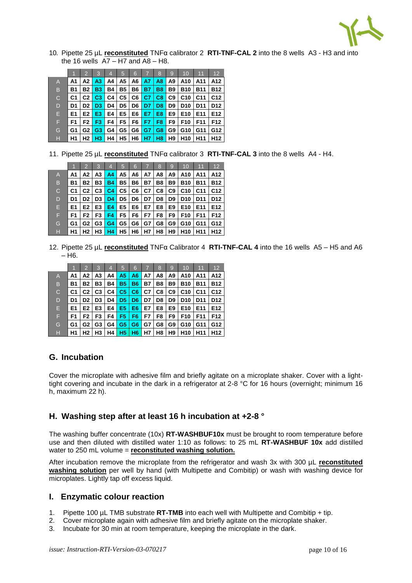

10. Pipette 25 µL **reconstituted** TNFα calibrator 2 **RTI-TNF-CAL 2** into the 8 wells A3 - H3 and into the 16 wells  $\overline{A7} - \overline{H7}$  and  $\overline{A8} - \overline{H8}$ .

|   |                | $\overline{2}$ | 3              | 4  | 5         | 6  | 7              | 8              | 9         | 10              | 11              | 12              |
|---|----------------|----------------|----------------|----|-----------|----|----------------|----------------|-----------|-----------------|-----------------|-----------------|
| A | Α1             | А2             | A3             | A4 | А5        | A6 | A7             | A8             | A9        | A10             | A11             | A12.            |
| B | <b>B1</b>      | <b>B2</b>      | B3             | Β4 | <b>B5</b> | Β6 | <b>B7</b>      | <b>B8</b>      | <b>B9</b> | <b>B10</b>      | <b>B11</b>      | <b>B12</b>      |
| C | C <sub>1</sub> | C2             | C <sub>3</sub> | C4 | C5        | C6 | C <sub>7</sub> | C8             | C9        | C <sub>10</sub> | C11             | C <sub>12</sub> |
| D | D1             | D <sub>2</sub> | D <sub>3</sub> | D4 | D5        | D6 | D7             | D <sub>8</sub> | D9        | D <sub>10</sub> | <b>D11</b>      | D12             |
| Е | E1             | E <sub>2</sub> | E3             | E4 | E5        | E6 | E7             | E8             | E9        | E <sub>10</sub> | E11             | E12             |
| F | F1             | F2             | F3             | F4 | F5        | F6 | F7             | F8             | F9        | F <sub>10</sub> | F11             | F12             |
| G | G1             | G2             | G <sub>3</sub> | G4 | G5        | G6 | G7             | G8             | G9        | G10             | G11             | G12             |
| н | H <sub>1</sub> | Н2             | H3             | Η4 | Н5        | H6 | H7             | H8             | H9        | H <sub>10</sub> | H <sub>11</sub> | H12             |

11. Pipette 25 µL **reconstituted** TNFα calibrator 3 **RTI-TNF-CAL 3** into the 8 wells A4 - H4.

|              | 1         | $\overline{2}$ | 3              | 4              | 5         | 6  | 7         | 8  | 9              | 10              | 11              | 12              |
|--------------|-----------|----------------|----------------|----------------|-----------|----|-----------|----|----------------|-----------------|-----------------|-----------------|
| A            | Α1        | А2             | A3             | A4             | А5        | A6 | A7        | A8 | A9             | A10             | A11             | A12             |
| B            | <b>B1</b> | Β2             | <b>B3</b>      | <b>B4</b>      | <b>B5</b> | Β6 | <b>B7</b> | Β8 | B9             | <b>B10</b>      | <b>B11</b>      | <b>B12</b>      |
| $\mathsf{C}$ | C1        | C2             | C <sub>3</sub> | C4             | C5        | C6 | C7        | C8 | C <sub>9</sub> | C <sub>10</sub> | C11             | C <sub>12</sub> |
| D            | D1        | D <sub>2</sub> | D3             | D <sub>4</sub> | D5        | D6 | D7        | D8 | D9             | <b>D10</b>      | <b>D11</b>      | D <sub>12</sub> |
| Е            | E1        | E <sub>2</sub> | E3             | E4             | E5        | E6 | E7        | E8 | E9             | E <sub>10</sub> | E <sub>11</sub> | E12             |
| F            | F1        | F2             | F3             | F4             | F5        | F6 | F7        | F8 | F9             | F <sub>10</sub> | F11             | F12             |
| G            | G1        | G2             | G3             | G4             | G5        | G6 | G7        | G8 | G9             | G10             | G11             | G12             |
| H            | Η1        | H <sub>2</sub> | H <sub>3</sub> | <b>H4</b>      | Н5        | H6 | Н7        | H8 | H9             | H <sub>10</sub> | H <sub>11</sub> | H12             |

12. Pipette 25 µL **reconstituted** TNFα Calibrator 4 **RTI-TNF-CAL 4** into the 16 wells A5 – H5 and A6  $-\overline{H}$ 

|                |                | 2              | 3              | 4  | 5              | 6              | 7         | 8  | 9         | 10              | 11              | 12              |
|----------------|----------------|----------------|----------------|----|----------------|----------------|-----------|----|-----------|-----------------|-----------------|-----------------|
| $\overline{A}$ | A1             | А2             | A3             | A4 | A5.            | A6             | A7        | A8 | Α9        | A10             | A11             | A12             |
| B              | <b>B1</b>      | Β2             | B3             | Β4 | <b>B5</b>      | <b>B6</b>      | <b>B7</b> | Β8 | <b>B9</b> | <b>B10</b>      | <b>B11</b>      | <b>B12</b>      |
| $\mathsf{C}$   | C1             | C2             | C <sub>3</sub> | C4 | C <sub>5</sub> | C6             | C7        | C8 | C9        | C <sub>10</sub> | C <sub>11</sub> | C <sub>12</sub> |
| D              | D1             | D <sub>2</sub> | D3             | D4 | D <sub>5</sub> | D <sub>6</sub> | D7        | D8 | D9        | D <sub>10</sub> | D11             | D12             |
| Е              | E1             | E <sub>2</sub> | E3             | E4 | E <sub>5</sub> | E <sub>6</sub> | E7        | E8 | E9        | E <sub>10</sub> | E11             | E12             |
| F              | F <sub>1</sub> | F <sub>2</sub> | F3             | F4 | F5             | F6             | F7        | F8 | F9        | F <sub>10</sub> | F <sub>11</sub> | F12             |
| G              | G1             | G2             | G3             | G4 | G <sub>5</sub> | G <sub>6</sub> | G7        | G8 | G9        | G10             | G11             | G12             |
| н              | H1             | Н2             | H <sub>3</sub> | Η4 | <b>H5</b>      | H <sub>6</sub> | Н7        | H8 | H9        | H <sub>10</sub> | H <sub>11</sub> | H12             |

# **G. Incubation**

Cover the microplate with adhesive film and briefly agitate on a microplate shaker. Cover with a lighttight covering and incubate in the dark in a refrigerator at 2-8 °C for 16 hours (overnight; minimum 16 h, maximum 22 h).

# **H. Washing step after at least 16 h incubation at +2-8 °**

The washing buffer concentrate (10x) **RT-WASHBUF10x** must be brought to room temperature before use and then diluted with distilled water 1:10 as follows: to 25 mL **RT-WASHBUF 10x** add distilled water to 250 mL volume = **reconstituted washing solution.**

After incubation remove the microplate from the refrigerator and wash 3x with 300 µL **reconstituted washing solution** per well by hand (with Multipette and Combitip) or wash with washing device for microplates. Lightly tap off excess liquid.

# **I. Enzymatic colour reaction**

- 1. Pipette 100 µL TMB substrate **RT-TMB** into each well with Multipette and Combitip + tip.
- 2. Cover microplate again with adhesive film and briefly agitate on the microplate shaker.
- 3. Incubate for 30 min at room temperature, keeping the microplate in the dark.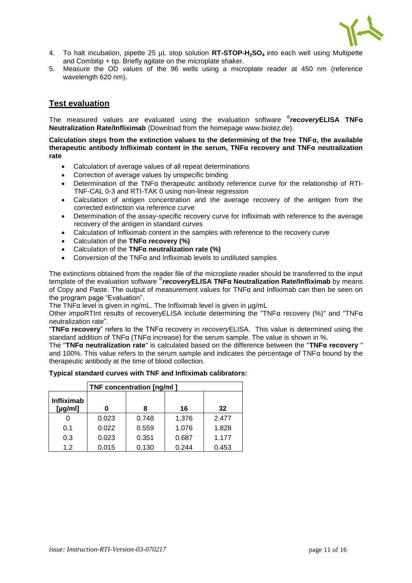

- 4. To halt incubation, pipette 25 µL stop solution **RT-STOP-H2SO4** into each well using Multipette and Combitip + tip. Briefly agitate on the microplate shaker.
- 5. Measure the OD values of the 96 wells using a microplate reader at 450 nm (reference wavelength 620 nm).

# **Test evaluation**

The measured values are evaluated using the evaluation software **©** *recovery***ELISA TNFα Neutralization Rate/Infliximab** (Download from the homepage www.biotez.de).

**Calculation steps from the extinction values to the determining of the free TNFα, the available therapeutic antibody Infliximab content in the serum, TNFα recovery and TNFα neutralization rate**

- Calculation of average values of all repeat determinations
- Correction of average values by unspecific binding
- Determination of the TNFα therapeutic antibody reference curve for the relationship of RTI-TNF-CAL 0-3 and RTI-TAK 0 using non-linear regression
- Calculation of antigen concentration and the average recovery of the antigen from the corrected extinction via reference curve
- Determination of the assay-specific recovery curve for Infliximab with reference to the average recovery of the antigen in standard curves
- Calculation of Infliximab content in the samples with reference to the recovery curve
- Calculation of the **TNFα recovery (%)**
- Calculation of the **TNFα neutralization rate (%)**
- Conversion of the TNFα and Infliximab levels to undiluted samples

The extinctions obtained from the reader file of the microplate reader should be transferred to the input template of the evaluation software **©** *recovery***ELISA TNFα Neutralization Rate/Infliximab** by means of Copy and Paste. The output of measurement values for TNFα and Infliximab can then be seen on the program page "Evaluation".

The TNFα level is given in ng/mL. The Infliximab level is given in µg/mL

Other impoRTInt results of recoveryELISA include determining the "TNFα recovery (%)" and "TNFα neutralization rate".

"**TNFα recovery**" refers to the TNFα recovery in *recovery*ELISA. This value is determined using the standard addition of TNFα (TNFα increase) for the serum sample. The value is shown in %.

The "**TNFα neutralization rate**" is calculated based on the difference between the "**TNFα recovery** " and 100%. This value refers to the serum sample and indicates the percentage of TNFα bound by the therapeutic antibody at the time of blood collection.

#### **Typical standard curves with TNF and Infliximab calibrators:**

|                                    | TNF concentration [ng/ml] |       |       |       |  |  |  |  |  |  |  |
|------------------------------------|---------------------------|-------|-------|-------|--|--|--|--|--|--|--|
| <b>Infliximab</b><br>[ $\mu$ g/ml] |                           |       | 16    | 32    |  |  |  |  |  |  |  |
|                                    | 0.023                     | 0.748 | 1.376 | 2.477 |  |  |  |  |  |  |  |
| 0.1                                | 0.022                     | 0.559 | 1.076 | 1.828 |  |  |  |  |  |  |  |
| 0.3                                | 0.023                     | 0.351 | 0.687 | 1.177 |  |  |  |  |  |  |  |
| 1.2                                | 0.015                     | 0.130 | 0.244 | 0.453 |  |  |  |  |  |  |  |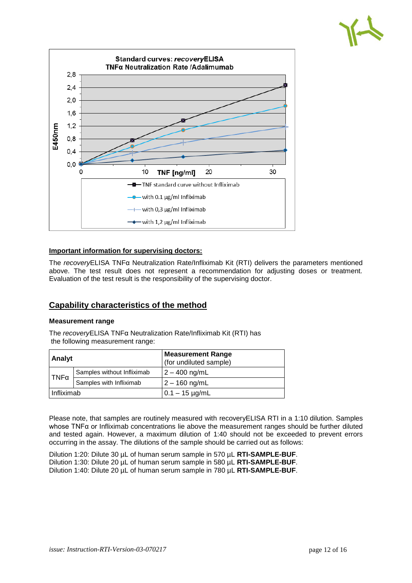

#### **Important information for supervising doctors:**

The *recovery*ELISA TNFα Neutralization Rate/Infliximab Kit (RTI) delivers the parameters mentioned above. The test result does not represent a recommendation for adjusting doses or treatment. Evaluation of the test result is the responsibility of the supervising doctor.

# **Capability characteristics of the method**

#### **Measurement range**

The *recovery*ELISA TNFα Neutralization Rate/Infliximab Kit (RTI) has the following measurement range:

| <b>Analyt</b> |                            | <b>Measurement Range</b><br>(for undiluted sample) |  |  |  |  |
|---------------|----------------------------|----------------------------------------------------|--|--|--|--|
| $TNF\alpha$   | Samples without Infliximab | $2 - 400$ ng/mL                                    |  |  |  |  |
|               | Samples with Infliximab    | $2 - 160$ ng/mL                                    |  |  |  |  |
| l Infliximab  |                            | $0.1 - 15 \mu g/mL$                                |  |  |  |  |

Please note, that samples are routinely measured with recoveryELISA RTI in a 1:10 dilution. Samples whose TNFα or Infliximab concentrations lie above the measurement ranges should be further diluted and tested again. However, a maximum dilution of 1:40 should not be exceeded to prevent errors occurring in the assay. The dilutions of the sample should be carried out as follows:

Dilution 1:20: Dilute 30 µL of human serum sample in 570 µL **RTI-SAMPLE-BUF**. Dilution 1:30: Dilute 20 µL of human serum sample in 580 µL **RTI-SAMPLE-BUF**. Dilution 1:40: Dilute 20 µL of human serum sample in 780 µL **RTI-SAMPLE-BUF**.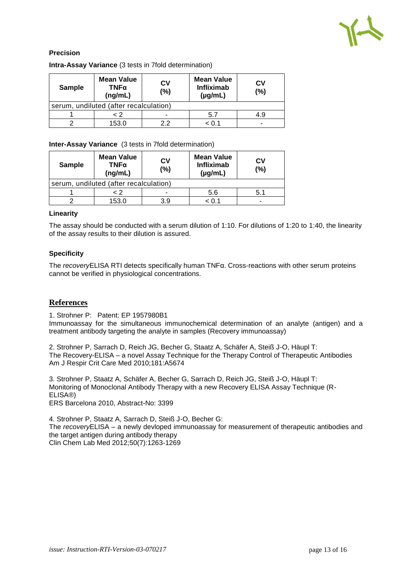

# **Precision**

| <b>Sample</b> | <b>Mean Value</b><br>TNFα<br>(ng/mL)   | <b>CV</b><br>(%) | <b>Mean Value</b><br><b>Infliximab</b><br>$(\mu g/mL)$ | СV<br>(%) |
|---------------|----------------------------------------|------------------|--------------------------------------------------------|-----------|
|               | serum, undiluted (after recalculation) |                  |                                                        |           |
|               | - 2                                    | -                | 5.7                                                    | 4.9       |
|               | 153.0                                  | っっ               | < 0.1                                                  | -         |

# **Intra-Assay Variance** (3 tests in 7fold determination)

#### **Inter-Assay Variance** (3 tests in 7fold determination)

| <b>Sample</b> | <b>Mean Value</b><br>TNFα<br>(ng/mL)   | CV<br>(%) | <b>Mean Value</b><br><b>Infliximab</b><br>$(\mu g/mL)$ | СV<br>(%) |  |  |  |  |  |  |
|---------------|----------------------------------------|-----------|--------------------------------------------------------|-----------|--|--|--|--|--|--|
|               | serum, undiluted (after recalculation) |           |                                                        |           |  |  |  |  |  |  |
| < 2           |                                        | -         | 5.6                                                    | 5.1       |  |  |  |  |  |  |
|               | 153.0                                  | 3.9       | < 0.1                                                  | -         |  |  |  |  |  |  |

#### **Linearity**

The assay should be conducted with a serum dilution of 1:10. For dilutions of 1:20 to 1:40, the linearity of the assay results to their dilution is assured.

#### **Specificity**

The *recovery*ELISA RTI detects specifically human TNFα. Cross-reactions with other serum proteins cannot be verified in physiological concentrations.

#### **References**

1. Strohner P: Patent: EP 1957980B1

Immunoassay for the simultaneous immunochemical determination of an analyte (antigen) and a treatment antibody targeting the analyte in samples (Recovery immunoassay)

2. Strohner P, Sarrach D, Reich JG, Becher G, Staatz A, Schäfer A, Steiß J-O, Häupl T: The Recovery-ELISA – a novel Assay Technique for the Therapy Control of Therapeutic Antibodies Am J Respir Crit Care Med 2010;181:A5674

3. Strohner P, Staatz A, Schäfer A, Becher G, Sarrach D, Reich JG, Steiß J-O, Häupl T: Monitoring of Monoclonal Antibody Therapy with a new Recovery ELISA Assay Technique (R-ELISA®) ERS Barcelona 2010, Abstract-No: 3399

4. Strohner P, Staatz A, Sarrach D, Steiß J-O, Becher G: The *recovery*ELISA – a newly devloped immunoassay for measurement of therapeutic antibodies and the target antigen during antibody therapy Clin Chem Lab Med 2012;50(7):1263-1269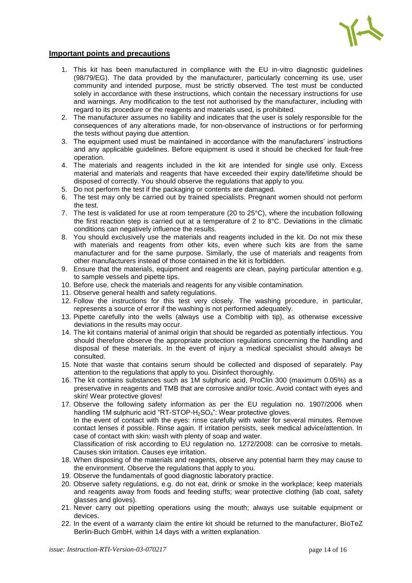

#### **Important points and precautions**

- 1. This kit has been manufactured in compliance with the EU in-vitro diagnostic guidelines (98/79/EG). The data provided by the manufacturer, particularly concerning its use, user community and intended purpose, must be strictly observed. The test must be conducted solely in accordance with these instructions, which contain the necessary instructions for use and warnings. Any modification to the test not authorised by the manufacturer, including with regard to its procedure or the reagents and materials used, is prohibited.
- 2. The manufacturer assumes no liability and indicates that the user is solely responsible for the consequences of any alterations made, for non-observance of instructions or for performing the tests without paying due attention.
- 3. The equipment used must be maintained in accordance with the manufacturers' instructions and any applicable guidelines. Before equipment is used it should be checked for fault-free operation.
- 4. The materials and reagents included in the kit are intended for single use only. Excess material and materials and reagents that have exceeded their expiry date/lifetime should be disposed of correctly. You should observe the regulations that apply to you.
- 5. Do not perform the test if the packaging or contents are damaged.
- 6. The test may only be carried out by trained specialists. Pregnant women should not perform the test.
- 7. The test is validated for use at room temperature (20 to 25°C), where the incubation following the first reaction step is carried out at a temperature of 2 to 8°C. Deviations in the climatic conditions can negatively influence the results.
- 8. You should exclusively use the materials and reagents included in the kit. Do not mix these with materials and reagents from other kits, even where such kits are from the same manufacturer and for the same purpose. Similarly, the use of materials and reagents from other manufacturers instead of those contained in the kit is forbidden.
- 9. Ensure that the materials, equipment and reagents are clean, paying particular attention e.g. to sample vessels and pipette tips.
- 10. Before use, check the materials and reagents for any visible contamination.
- 11. Observe general health and safety regulations.
- 12. Follow the instructions for this test very closely. The washing procedure, in particular, represents a source of error if the washing is not performed adequately.
- 13. Pipette carefully into the wells (always use a Combitip with tip), as otherwise excessive deviations in the results may occur.
- 14. The kit contains material of animal origin that should be regarded as potentially infectious. You should therefore observe the appropriate protection regulations concerning the handling and disposal of these materials. In the event of injury a medical specialist should always be consulted.
- 15. Note that waste that contains serum should be collected and disposed of separately. Pay attention to the regulations that apply to you. Disinfect thoroughly.
- 16. The kit contains substances such as 1M sulphuric acid, ProClin 300 (maximum 0.05%) as a preservative in reagents and TMB that are corrosive and/or toxic. Avoid contact with eyes and skin! Wear protective gloves!
- 17. Observe the following safety information as per the EU regulation no. 1907/2006 when handling 1M sulphuric acid "RT-STOP-H<sub>2</sub>SO<sub>4</sub>": Wear protective gloves.

In the event of contact with the eyes: rinse carefully with water for several minutes. Remove contact lenses if possible. Rinse again. If irritation persists, seek medical advice/attention. In case of contact with skin: wash with plenty of soap and water.

Classification of risk according to EU regulation no. 1272/2008: can be corrosive to metals. Causes skin irritation. Causes eye irritation.

- 18. When disposing of the materials and reagents, observe any potential harm they may cause to the environment. Observe the regulations that apply to you.
- 19. Observe the fundamentals of good diagnostic laboratory practice.
- 20. Observe safety regulations, e.g. do not eat, drink or smoke in the workplace; keep materials and reagents away from foods and feeding stuffs; wear protective clothing (lab coat, safety glasses and gloves).
- 21. Never carry out pipetting operations using the mouth; always use suitable equipment or devices.
- 22. In the event of a warranty claim the entire kit should be returned to the manufacturer, BioTeZ Berlin-Buch GmbH, within 14 days with a written explanation.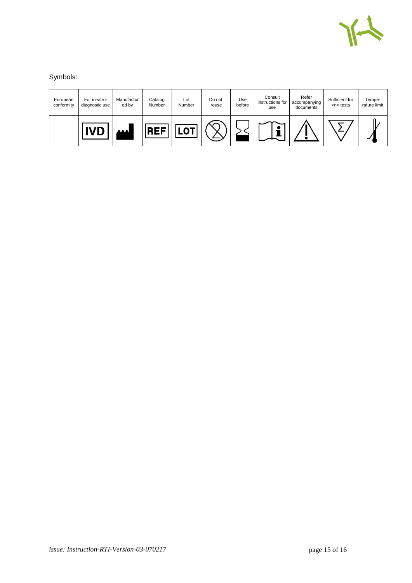

Symbols:

| European<br>conformity | For in-vitro-<br>diagnostic use | Manufactur<br>ed by | Catalog<br>Number | Lot<br>Number | Do not<br>reuse | Use<br>before | Consult<br>instructions for<br>use | Refer<br>accompanying<br>documents | Sufficient for<br>$n$ tests | Tempe-<br>rature limit |
|------------------------|---------------------------------|---------------------|-------------------|---------------|-----------------|---------------|------------------------------------|------------------------------------|-----------------------------|------------------------|
|                        | 11 IC                           | <b>AA</b>           | rг                |               |                 |               |                                    |                                    |                             |                        |